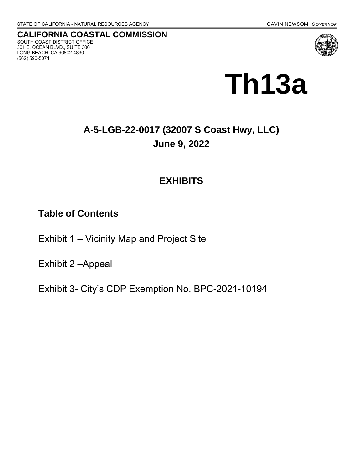#### **CALIFORNIA COASTAL COMMISSION** SOUTH COAST DISTRICT OFFICE

301 E. OCEAN BLVD., SUITE 300 LONG BEACH, CA 90802-4830 (562) 590-5071



**Th13a**

## **A-5-LGB-22-0017 (32007 S Coast Hwy, LLC) June 9, 2022**

## **EXHIBITS**

## **Table of Contents**

Exhibit 1 – Vicinity Map [and Project Site](#page-1-0)

[Exhibit 2 –Appeal](#page-3-0)

Exhibit 3- [City's CDP Exemption No. BPC-2021-10194](#page-13-0)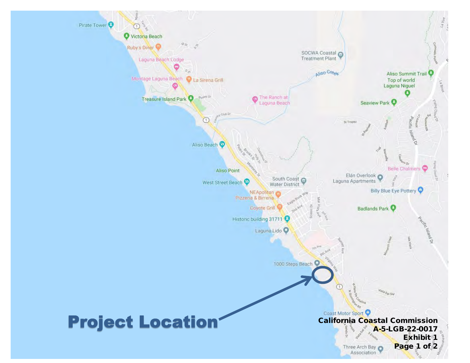<span id="page-1-0"></span>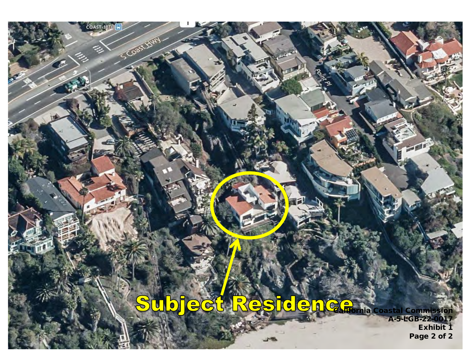# Subject Residence N

point of

 $COAST-10THQ$ 

S Coast Kiwy

A-5-LGB-22-0017 Exhibit 1 Page 2 of 2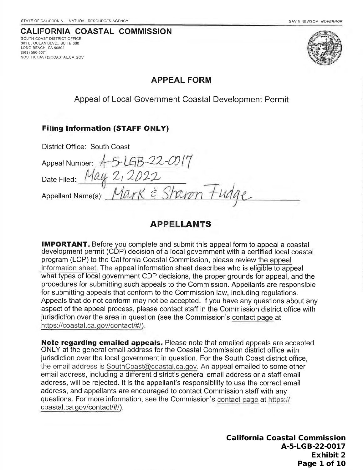<span id="page-3-0"></span>CALIFORNIA COASTAL COMMISSION

SOUTH COAST DISTRICT OFFICE 301 E. OCEAN BLVD., SUITE 300 LONG BEACH, CA 90802  $(562) 590 - 5071$ SOUTHCOAST@COASTAL.CA.GOV



#### **APPEAL FORM**

Appeal of Local Government Coastal Development Permit

#### **Filing Information (STAFF ONLY)**

| District Office: South Coast           |
|----------------------------------------|
| Appeal Number: 4-5-LGB-22-0017         |
| Date Filed: May 2, 2022                |
| Appellant Name(s): Mark & Sharpn Fudae |
|                                        |

#### **APPELLANTS**

**IMPORTANT.** Before you complete and submit this appeal form to appeal a coastal development permit (CDP) decision of a local government with a certified local coastal program (LCP) to the California Coastal Commission, please review the appeal information sheet. The appeal information sheet describes who is eligible to appeal what types of local government CDP decisions, the proper grounds for appeal, and the procedures for submitting such appeals to the Commission. Appellants are responsible for submitting appeals that conform to the Commission law, including regulations. Appeals that do not conform may not be accepted. If you have any questions about any aspect of the appeal process, please contact staff in the Commission district office with jurisdiction over the area in question (see the Commission's contact page at https://coastal.ca.gov/contact/#/).

Note regarding emailed appeals. Please note that emailed appeals are accepted ONLY at the general email address for the Coastal Commission district office with jurisdiction over the local government in question. For the South Coast district office, the email address is SouthCoast@coastal.ca.gov. An appeal emailed to some other email address, including a different district's general email address or a staff email address, will be rejected. It is the appellant's responsibility to use the correct email address, and appellants are encouraged to contact Commission staff with any questions. For more information, see the Commission's contact page at https:// coastal.ca.gov/contact/#/).

> **California Coastal Commission** A-5-LGB-22-0017 **Exhibit 2** Page 1 of 10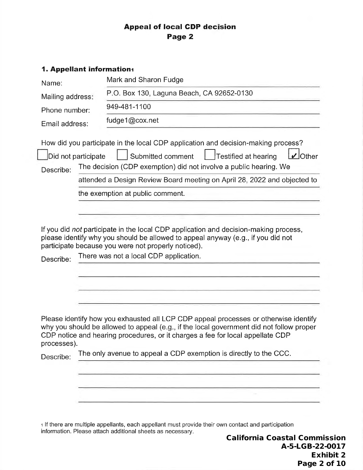#### 1. Appellant information1

| Name:               |  | Mark and Sharon Fudge                                                                                                                                                            |
|---------------------|--|----------------------------------------------------------------------------------------------------------------------------------------------------------------------------------|
| Mailing address:    |  | P.O. Box 130, Laguna Beach, CA 92652-0130                                                                                                                                        |
| Phone number:       |  | 949-481-1100                                                                                                                                                                     |
| Email address:      |  | fudge1@cox.net                                                                                                                                                                   |
|                     |  | How did you participate in the local CDP application and decision-making process?                                                                                                |
| Did not participate |  | Submitted comment<br>Testified at hearing<br>$\cup$ Other                                                                                                                        |
| Describe:           |  | The decision (CDP exemption) did not involve a public hearing. We                                                                                                                |
|                     |  | attended a Design Review Board meeting on April 28, 2022 and objected to                                                                                                         |
|                     |  | the exemption at public comment.                                                                                                                                                 |
|                     |  |                                                                                                                                                                                  |
|                     |  |                                                                                                                                                                                  |
|                     |  | If you did not participate in the local CDP application and decision-making process,<br>please identify why you should be allowed to appeal anyway (e.g., if you did not         |
|                     |  | participate because you were not properly noticed).                                                                                                                              |
| Describe:           |  | There was not a local CDP application.                                                                                                                                           |
|                     |  |                                                                                                                                                                                  |
|                     |  |                                                                                                                                                                                  |
|                     |  |                                                                                                                                                                                  |
|                     |  |                                                                                                                                                                                  |
|                     |  | Please identify how you exhausted all LCP CDP appeal processes or otherwise identify<br>why you should be allowed to appeal (e.g., if the local government did not follow proper |
| processes).         |  | CDP notice and hearing procedures, or it charges a fee for local appellate CDP                                                                                                   |
| Describe:           |  | The only avenue to appeal a CDP exemption is directly to the CCC.                                                                                                                |
|                     |  |                                                                                                                                                                                  |
|                     |  |                                                                                                                                                                                  |
|                     |  |                                                                                                                                                                                  |
|                     |  |                                                                                                                                                                                  |
|                     |  |                                                                                                                                                                                  |

<sup>1</sup> If there are multiple appellants, each appellant must provide their own contact and participation<br>information. Please attach additional sheets as necessary.<br>**California Coastal Commission** 

A-5-LGB-22-0017 Exhibit 2 Page 2 of 10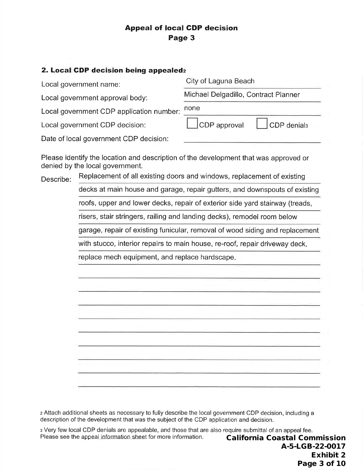#### 2. Local CDP decision being appealed2

| Local government name:                   | City of Laguna Beach<br>Michael Delgadillo, Contract Planner<br>none |                    |  |
|------------------------------------------|----------------------------------------------------------------------|--------------------|--|
| Local government approval body:          |                                                                      |                    |  |
| Local government CDP application number: |                                                                      |                    |  |
| Local government CDP decision:           | $\Box$ CDP approval                                                  | $\Box$ CDP denials |  |
| Date of local government CDP decision:   |                                                                      |                    |  |

Please identify the location and description of the development that was approved or denied by the local government.

Replacement of all existing doors and windows, replacement of existing Describe: decks at main house and garage, repair gutters, and downspouts of existing roofs, upper and lower decks, repair of exterior side yard stairway (treads, risers, stair stringers, railing and landing decks), remodel room below garage, repair of existing funicular, removal of wood siding and replacement with stucco, interior repairs to main house, re-roof, repair driveway deck, replace mech equipment, and replace hardscape.

2 Attach additional sheets as necessary to fully describe the local government CDP decision, including a description of the development that was the subject of the CDP application and decision.

a Very few local CDP denials are appealable, and those that are also require submittal of an appeal fee. Please see the appeal information sheet for more information. California Coastal Commission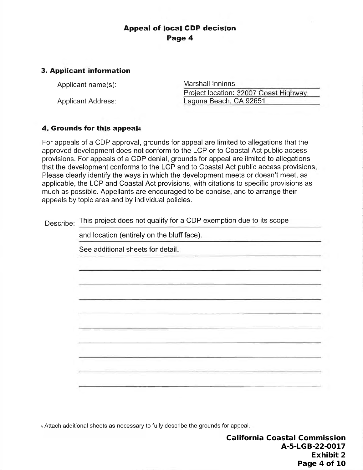#### **3. Applicant information**

Applicant name(s):

**Applicant Address:** 

Marshall Inninns

Project location: 32007 Coast Highway Laguna Beach, CA 92651

#### 4. Grounds for this appeal4

For appeals of a CDP approval, grounds for appeal are limited to allegations that the approved development does not conform to the LCP or to Coastal Act public access provisions. For appeals of a CDP denial, grounds for appeal are limited to allegations that the development conforms to the LCP and to Coastal Act public access provisions. Please clearly identify the ways in which the development meets or doesn't meet, as applicable, the LCP and Coastal Act provisions, with citations to specific provisions as much as possible. Appellants are encouraged to be concise, and to arrange their appeals by topic area and by individual policies.

**Common** 

**Salary Car** 

| Describe: | This project does not qualify for a CDP exemption due to its scope |  |  |  |  |
|-----------|--------------------------------------------------------------------|--|--|--|--|
|           | and location (entirely on the bluff face).                         |  |  |  |  |
|           | See additional sheets for detail.                                  |  |  |  |  |
|           |                                                                    |  |  |  |  |
|           |                                                                    |  |  |  |  |
|           |                                                                    |  |  |  |  |
|           |                                                                    |  |  |  |  |
|           |                                                                    |  |  |  |  |
|           |                                                                    |  |  |  |  |
|           |                                                                    |  |  |  |  |
|           |                                                                    |  |  |  |  |
|           |                                                                    |  |  |  |  |
|           |                                                                    |  |  |  |  |
|           |                                                                    |  |  |  |  |

4 Attach additional sheets as necessary to fully describe the grounds for appeal.

**California Coastal Commission** A-5-LGB-22-0017 **Exhibit 2** Page 4 of 10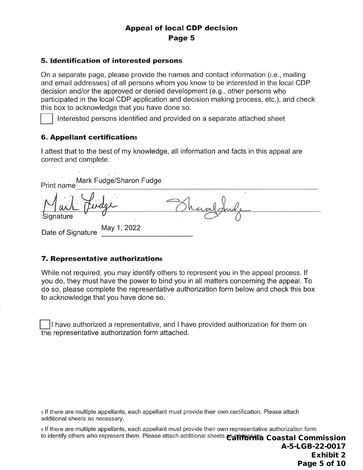#### 5. Identification of interested persons

On a separate page, please provide the names and contact information (i.e., mailing and email addresses) of all persons whom you know to be interested in the local CDP decision and/or the approved or denied development (e.g., other persons who participated in the local CDP application and decision making process, etc.), and check this box to acknowledge that you have done so.

Interested persons identified and provided on a separate attached sheet

#### **6. Appellant certifications**

 $\omega$  .

I attest that to the best of my knowledge, all information and facts in this appeal are correct and complete.

| Print name        | Mark Fudge/Sharon Fudge |  |
|-------------------|-------------------------|--|
| 'Signature        |                         |  |
| Date of Signature | May 1, 2022             |  |

#### 7. Representative authorizations

While not required, you may identify others to represent you in the appeal process. If you do, they must have the power to bind you in all matters concerning the appeal. To do so, please complete the representative authorization form below and check this box to acknowledge that you have done so.

I have authorized a representative, and I have provided authorization for them on the representative authorization form attached.

5 If there are multiple appellants, each appellant must provide their own certification. Please attach additional sheets as necessary.

6 If there are multiple appellants, each appellant must provide their own representative authorization form to identify others who represent them. Please attach additional sheets **califfornia Coastal Commission** 

A-5-LGB-22-0017 **Exhibit 2** Page 5 of 10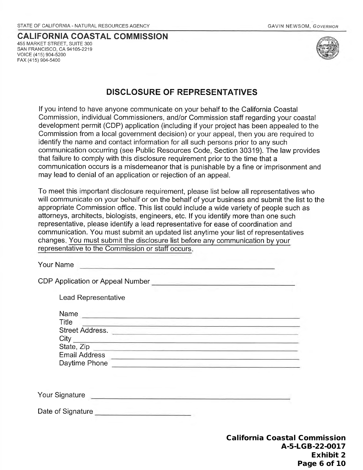#### **CALIFORNIA COASTAL COMMISSION**

455 MARKET STREET, SUITE 300 SAN FRANCISCO, CA 94105-2219 VOICE (415) 904-5200 FAX (415) 904-5400



### **DISCLOSURE OF REPRESENTATIVES**

If you intend to have anyone communicate on your behalf to the California Coastal Commission, individual Commissioners, and/or Commission staff regarding your coastal development permit (CDP) application (including if your project has been appealed to the Commission from a local government decision) or your appeal, then you are required to identify the name and contact information for all such persons prior to any such communication occurring (see Public Resources Code, Section 30319). The law provides that failure to comply with this disclosure requirement prior to the time that a communication occurs is a misdemeanor that is punishable by a fine or imprisonment and mav lead to denial of an application or rejection of an appeal.

To meet this important disclosure requirement, please list below all representatives who will communicate on your behalf or on the behalf of your business and submit the list to the appropriate Commission office. This list could include a wide variety of people such as attorneys, architects, biologists, engineers, etc. If you identify more than one such representative, please identify a lead representative for ease of coordination and communication. You must submit an updated list anytime your list of representatives changes. You must submit the disclosure list before any communication by your representative to the Commission or staff occurs.

Your Name

CDP Application or Appeal Number **CDP** Application or Appeal Number

| Lead Representative |  |
|---------------------|--|
|                     |  |

| Name                   |  |  |
|------------------------|--|--|
| Title                  |  |  |
| <b>Street Address.</b> |  |  |
| City                   |  |  |
| State, Zip             |  |  |
| Email Address          |  |  |
| Daytime Phone          |  |  |

Your Signature **contract and the Contract of Science Contract and Contract and Contract of Science Contract and Contract and Contract and Contract and Contract and Contract and Contract and Contract and Contract and Contra** 

Date of Signature **Date of Signature** 

**California Coastal Commission** A-5-LGB-22-0017 **Exhibit 2** Page 6 of 10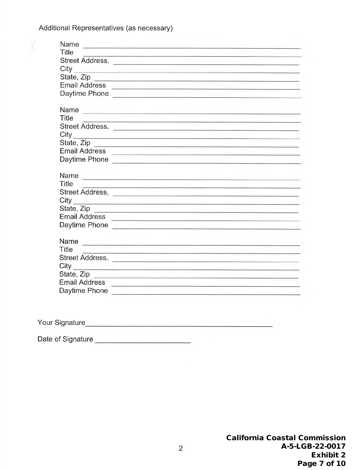Additional Representatives (as necessary)

| Name<br><u> The Station of the company and the company of the company of the company of the company of the company of the company of the company of the company of the company of the company of the company of the company of the compa</u> |  |
|----------------------------------------------------------------------------------------------------------------------------------------------------------------------------------------------------------------------------------------------|--|
| Title<br><u> a shi ne a shekara ta 1999, a shekara ta 1999</u>                                                                                                                                                                               |  |
|                                                                                                                                                                                                                                              |  |
| City <u>Constant Communication</u>                                                                                                                                                                                                           |  |
|                                                                                                                                                                                                                                              |  |
| Email Address <b>Communication</b> Communication and Communication Communication Communication Communication Communication                                                                                                                   |  |
| Daytime Phone <b>Contract Contract Contract Contract Contract Contract Contract Contract Contract Contract Contract Contract Contract Contract Contract Contract Contract Contract Contract Contract Contract Contract Contract </b>         |  |
|                                                                                                                                                                                                                                              |  |
|                                                                                                                                                                                                                                              |  |
| <b>Title</b><br><u> The Commission and Commission and Commission and Commission and Commission and Commission and Commission and</u>                                                                                                         |  |
| Street Address.                                                                                                                                                                                                                              |  |
| City <b>Commission Commission</b>                                                                                                                                                                                                            |  |
| State, Zip                                                                                                                                                                                                                                   |  |
|                                                                                                                                                                                                                                              |  |
| Daytime Phone <b>Contract Contract Contract Contract Contract Contract Contract Contract Contract Contract Contract Contract Contract Contract Contract Contract Contract Contract Contract Contract Contract Contract Contract </b>         |  |
|                                                                                                                                                                                                                                              |  |
|                                                                                                                                                                                                                                              |  |
| Title<br>the control of the control of the control of the control of the control of the control of                                                                                                                                           |  |
| Street Address.                                                                                                                                                                                                                              |  |
| City <u>Culture and City and City and City and City and City and City and City and City and City and City and City and City and City and City and City and City and City and City and City and City and City and City and City a</u>         |  |
|                                                                                                                                                                                                                                              |  |
| Email Address <b>Communication</b> Communication and Communication Communication Communication                                                                                                                                               |  |
| Daytime Phone <b>contract the Contract of Contract Contract of Contract Contract Contract Contract Contract Contract Contract Contract Contract Contract Contract Contract Contract Contract Contract Contract Contract Contract</b>         |  |
|                                                                                                                                                                                                                                              |  |
| Title                                                                                                                                                                                                                                        |  |
| <u> 1980 - Andrea American American (</u> 1980 - 1980 - 19                                                                                                                                                                                   |  |
| Street Address.                                                                                                                                                                                                                              |  |
| City                                                                                                                                                                                                                                         |  |
|                                                                                                                                                                                                                                              |  |
|                                                                                                                                                                                                                                              |  |
| Daytime Phone                                                                                                                                                                                                                                |  |
|                                                                                                                                                                                                                                              |  |
|                                                                                                                                                                                                                                              |  |

Your Signature **Executive Signature Contract Contract Contract Contract Contract Contract Contract Contract Contract Contract Contract Contract Contract Contract Contract Contract Contract Contract Contract Contract Cont**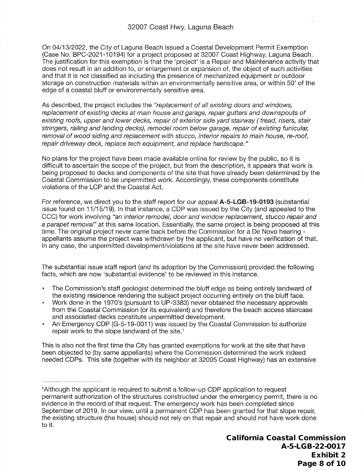On 04/13/2022, the City of Laguna Beach issued a Coastal Development Permit Exemption (Case No. BPC-2021-10194) for a project proposed at 32007 Coast Highway, Laguna Beach. The justification for this exemption is that the 'project' is a Repair and Maintenance activity that does not result in an addition to, or enlargement or expansion of, the object of such activities and that it is not classified as including the presence of mechanized equipment or outdoor storage on construction materials within an environmentally sensitive area, or within 50' of the edge of a coastal bluff or environmentally sensitive area.

As described, the project includes the "replacement of all existing doors and windows, replacement of existing decks at main house and garage, repair gutters and downspouts of existing roofs, upper and lower decks, repair of exterior side yard stairway (tread, risers, stair stringers, railing and landing decks), remodel room below garage, repair of existing funicular. removal of wood siding and replacement with stucco, interior repairs to main house, re-roof, repair driveway deck, replace tech equipment, and replace hardscape."

No plans for the project have been made available online for review by the public, so it is difficult to ascertain the scope of the project, but from the description, it appears that work is being proposed to decks and components of the site that have already been determined by the Coastal Commission to be unpermitted work. Accordingly, these components constitute violations of the LCP and the Coastal Act.

For reference, we direct you to the staff report for our appeal A-5-LGB-19-0193 (substantial issue found on 11/15/19). In that instance, a CDP was issued by the City (and appealed to the CCC) for work involving "an interior remodel, door and window replacement, stucco repair and a parapet removal" at this same location. Essentially, the same project is being proposed at this time. The original project never came back before the Commission for a De Novo hearing appellants assume the project was withdrawn by the applicant, but have no verification of that. In any case, the unpermitted development/violations at the site have never been addressed.

The substantial issue staff report (and its adoption by the Commission) provided the following facts, which are now 'substantial evidence' to be reviewed in this instance.

- The Commission's staff geologist determined the bluff edge as being entirely landward of the existing residence rendering the subject project occurring entirely on the bluff face.
- Work done in the 1970's (pursuant to UP-3383) never obtained the necessary approvals from the Coastal Commission (or its equivalent) and therefore the beach access staircase and associated decks constitute unpermitted development.
- An Emergency CDP (G-5-19-0011) was issued by the Coastal Commission to authorize repair work to the slope landward of the site.<sup>1</sup>

This is also not the first time the City has granted exemptions for work at the site that have been objected to (by same appellants) where the Commission determined the work indeed needed CDPs. This site (together with its neighbor at 32005 Coast Highway) has an extensive

**California Coastal Commission** A-5-LGB-22-0017 **Exhibit 2** Page 8 of 10

<sup>&</sup>lt;sup>1</sup>Although the applicant is required to submit a follow-up CDP application to request permanent authorization of the structures constructed under the emergency permit, there is no evidence in the record of that request. The emergency work has been completed since September of 2019. In our view, until a permanent CDP has been granted for that slope repair, the existing structure (the house) should not rely on that repair and should not have work done to it.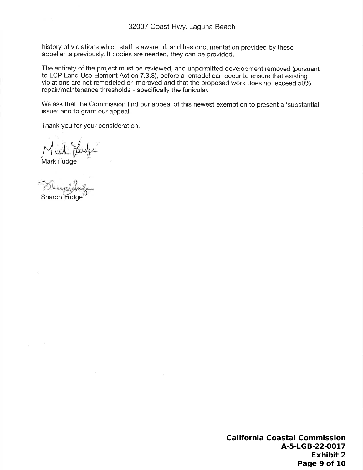history of violations which staff is aware of, and has documentation provided by these appellants previously. If copies are needed, they can be provided.

The entirety of the project must be reviewed, and unpermitted development removed (pursuant to LCP Land Use Element Action 7.3.8), before a remodel can occur to ensure that existing violations are not remodeled or improved and that the proposed work does not exceed 50% repair/maintenance thresholds - specifically the funicular.

We ask that the Commission find our appeal of this newest exemption to present a 'substantial issue' and to grant our appeal.

Thank you for your consideration,

 $\mathbb{R}^d$ 

ark Pudge Mark Fudge

Sharon Fudge

**California Coastal Commission** A-5-LGB-22-0017 **Exhibit 2** Page 9 of 10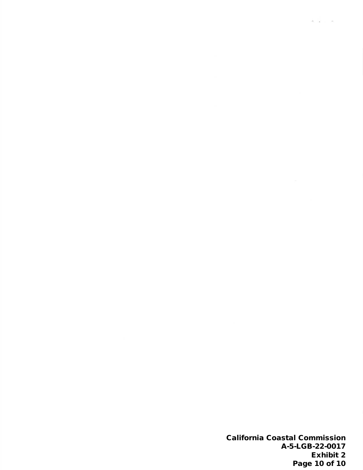California Coastal Commission A-5-LGB-22-0017 Exhibit 2 Page 10 of 10

 $\tilde{R}_1 = \tilde{R}_2 = \ldots = \tilde{R}_N$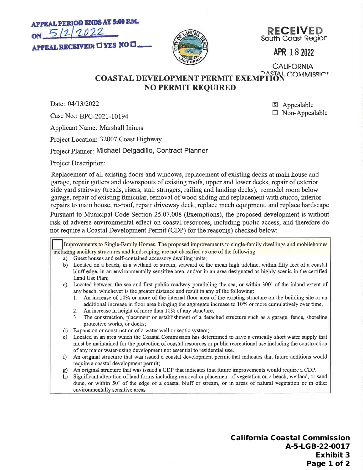<span id="page-13-0"></span>**APPEAL PERIOD ENDS AT 5:00 P.M.** 

**APPEAL RECEIVED: O YES NO O.** 



RECEIVED South Coast Region

APR 18 2022

X Appealable  $\Box$  Non-Appealable

**CALIFORNIA** 

## **COASTAL DEVELOPMENT PERMIT EXEMPTION COMMISSION NO PERMIT REOUIRED**

Date: 04/13/2022

Case No.: BPC-2021-10194

Applicant Name: Marshall Ininns

Project Location: 32007 Coast Highway

Project Planner: Michael Delgadillo, Contract Planner

Project Description:

Replacement of all existing doors and windows, replacement of existing decks at main house and garage, repair gutters and downspouts of existing roofs, upper and lower decks, repair of exterior side yard stairway (treads, risers, stair stringers, railing and landing decks), remodel room below garage, repair of existing funicular, removal of wood sliding and replacement with stucco, interior repairs to main house, re-roof, repair driveway deck, replace mech equipment, and replace hardscape

Pursuant to Municipal Code Section 25.07.008 (Exemptions), the proposed development is without risk of adverse environmental effect on coastal resources, including public access, and therefore do not require a Coastal Development Permit (CDP) for the reason(s) checked below:

Improvements to Single-Family Homes. The proposed improvements to single-family dwellings and mobilehomes including ancillary structures and landscaping, are not classified as one of the following: a) Guest houses and self-contained accessory dwelling units; b) Located on a beach, in a wetland or stream, seaward of the mean high tideline, within fifty feet of a coastal bluff edge, in an environmentally sensitive area, and/or in an area designated as highly scenic in the certified Land Use Plan; c) Located between the sea and first public roadway paralleling the sea, or within 300' of the inland extent of any beach, whichever is the greater distance and result in any of the following: 1. An increase of 10% or more of the internal floor area of the existing structure on the building site or an additional increase in floor area bringing the aggregate increase to 10% or more cumulatively over time, An increase in height of more than 10% of any structure,  $2.$ 3. The construction, placement or establishment of a detached structure such as a garage, fence, shoreline protective works, or docks; d) Expansion or construction of a water well or septic system;

- e) Located in an area which the Coastal Commission has determined to have a critically short water supply that must be maintained for the protection of coastal resources or public recreational use including the construction of any major water-using development not essential to residential use.
- f) An original structure that was issued a coastal development permit that indicates that future additions would require a coastal development permit;
- An original structure that was issued a CDP that indicates that future improvements would require a CDP.  $g$ )
- h) Significant alteration of land forms including removal or placement of vegetation on a beach, wetland, or sand dune, or within 50' of the edge of a coastal bluff or stream, or in areas of natural vegetation or in other environmentally sensitive areas

**California Coastal Commission** A-5-LGB-22-0017 **Exhibit 3** Page 1 of 2